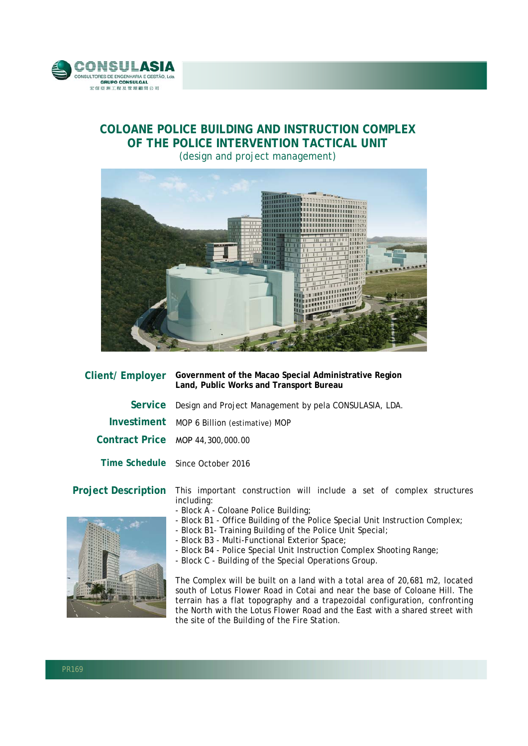

## **COLOANE POLICE BUILDING AND INSTRUCTION COMPLEX OF THE POLICE INTERVENTION TACTICAL UNIT**  (design and project management)



| <b>Client/Employer</b> | Government of the Macao Special Administrative Region<br>Land, Public Works and Transport Bureau |
|------------------------|--------------------------------------------------------------------------------------------------|
|                        | Service Design and Project Management by pela CONSULASIA, LDA.                                   |
|                        | Investiment MOP 6 Billion (estimative) MOP                                                       |
|                        | Contract Price MOP 44,300,000.00                                                                 |
|                        | Time Schedule Since October 2016                                                                 |
|                        |                                                                                                  |

## **Project Description** This important construction will include a set of complex structures

- including: - Block A - Coloane Police Building;
- Block B1 Office Building of the Police Special Unit Instruction Complex;
- Block B1- Training Building of the Police Unit Special;
- Block B3 Multi-Functional Exterior Space;
- Block B4 Police Special Unit Instruction Complex Shooting Range;
- Block C Building of the Special Operations Group.

The Complex will be built on a land with a total area of 20,681 m2, located south of Lotus Flower Road in Cotai and near the base of Coloane Hill. The terrain has a flat topography and a trapezoidal configuration, confronting the North with the Lotus Flower Road and the East with a shared street with the site of the Building of the Fire Station.

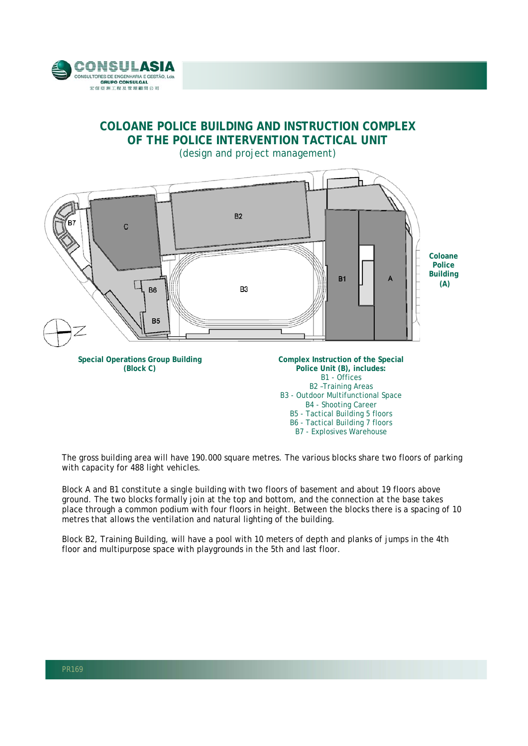

## **COLOANE POLICE BUILDING AND INSTRUCTION COMPLEX OF THE POLICE INTERVENTION TACTICAL UNIT**  (design and project management)



The gross building area will have 190.000 square metres. The various blocks share two floors of parking with capacity for 488 light vehicles.

B6 - Tactical Building 7 floors B7 - Explosives Warehouse

Block A and B1 constitute a single building with two floors of basement and about 19 floors above ground. The two blocks formally join at the top and bottom, and the connection at the base takes place through a common podium with four floors in height. Between the blocks there is a spacing of 10 metres that allows the ventilation and natural lighting of the building.

Block B2, Training Building, will have a pool with 10 meters of depth and planks of jumps in the 4th floor and multipurpose space with playgrounds in the 5th and last floor.

l